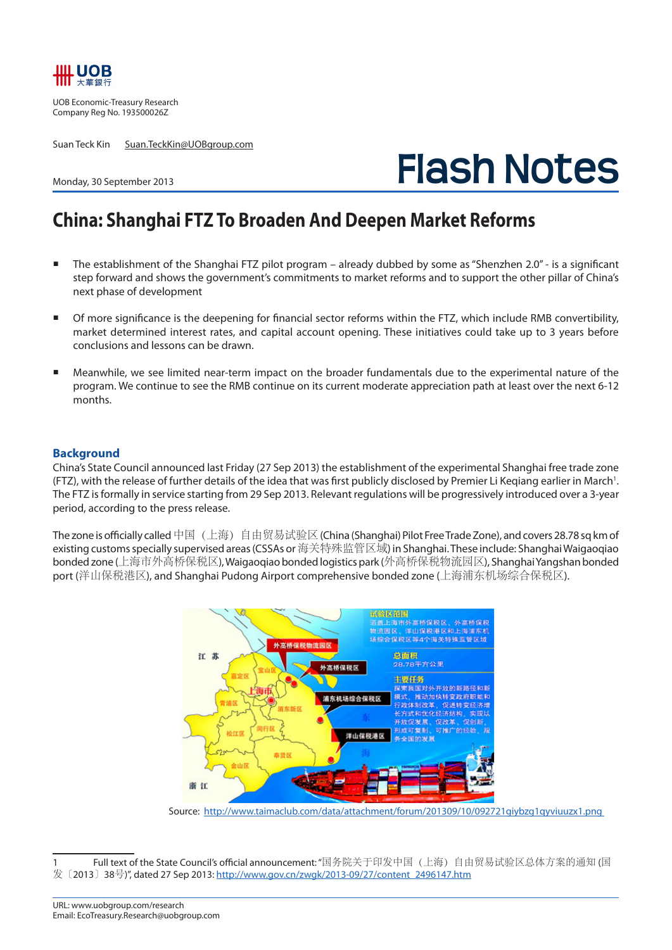

UOB Economic-Treasury Research Company Reg No. 193500026Z

Suan Teck Kin Suan.TeckKin@UOBgroup.com

# **Flash Notes**

### Monday, 30 September 2013

## **China: Shanghai FTZ To Broaden And Deepen Market Reforms**

- The establishment of the Shanghai FTZ pilot program already dubbed by some as "Shenzhen 2.0" is a significant step forward and shows the government's commitments to market reforms and to support the other pillar of China's next phase of development
- Of more significance is the deepening for financial sector reforms within the FTZ, which include RMB convertibility, market determined interest rates, and capital account opening. These initiatives could take up to 3 years before conclusions and lessons can be drawn.
- Meanwhile, we see limited near-term impact on the broader fundamentals due to the experimental nature of the program. We continue to see the RMB continue on its current moderate appreciation path at least over the next 6-12 months.

### **Background**

China's State Council announced last Friday (27 Sep 2013) the establishment of the experimental Shanghai free trade zone (FTZ), with the release of further details of the idea that was first publicly disclosed by Premier Li Keqiang earlier in March<sup>1</sup>. The FTZ is formally in service starting from 29 Sep 2013. Relevant regulations will be progressively introduced over a 3-year period, according to the press release.

The zone is officially called 中国(上海)自由贸易试验区 (China (Shanghai) Pilot Free Trade Zone), and covers 28.78 sq km of existing customs specially supervised areas (CSSAs or 海关特殊监管区域) in Shanghai. These include: Shanghai Waigaoqiao bonded zone (上海市外高桥保税区), Waigaoqiao bonded logistics park (外高桥保税物流园区), Shanghai Yangshan bonded port (洋山保税港区), and Shanghai Pudong Airport comprehensive bonded zone (上海浦东机场综合保税区).



Source: http://www.taimaclub.com/data/attachment/forum/201309/10/092721giybzg1qyviuuzx1.png

<sup>1</sup> Full text of the State Council's official announcement: "国务院关于印发中国(上海)自由贸易试验区总体方案的通知 (国 发〔2013〕38号)", dated 27 Sep 2013: http://www.gov.cn/zwgk/2013-09/27/content\_2496147.htm